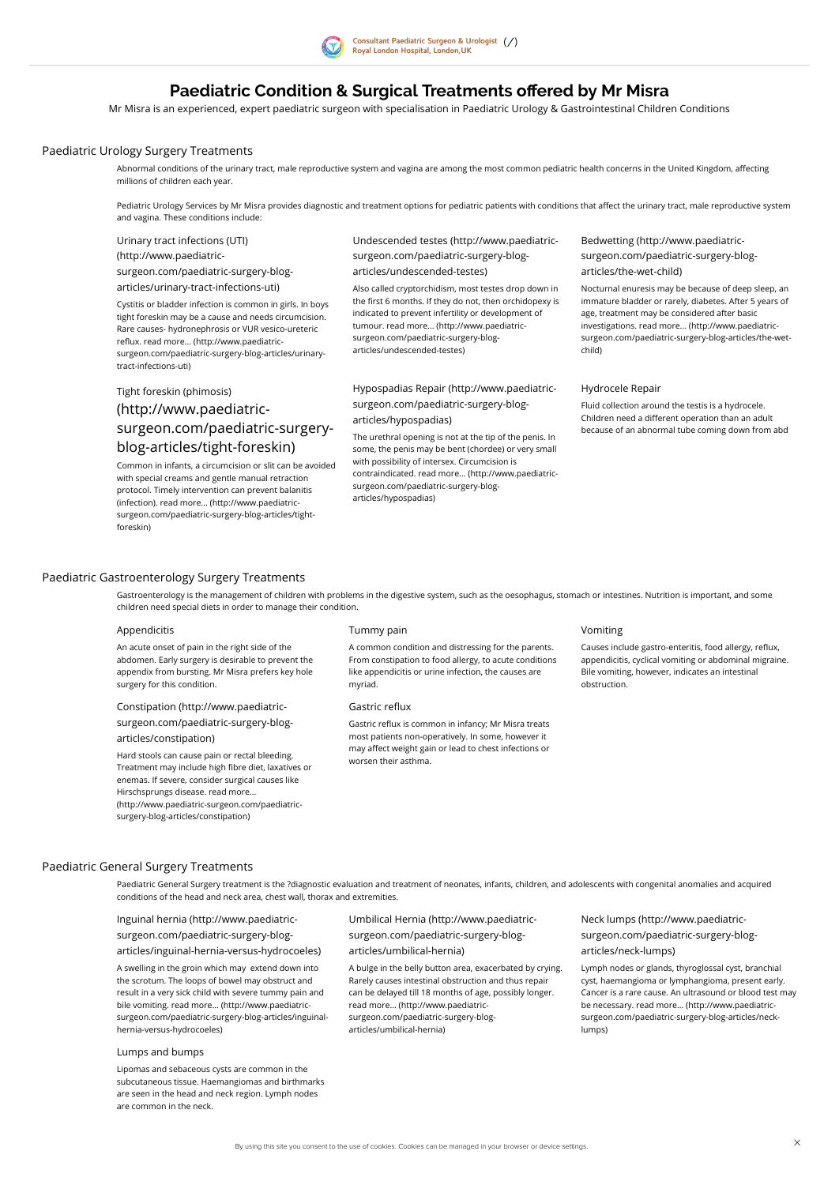

# Paediatric Condition & Surgical Treatments offered by Mr Misra

Mr Misra is an experienced, expert paediatric surgeon with specialisation in Paediatric Urology & Gastrointestinal Children Conditions

## <span id="page-0-0"></span>Paediatric Urology Surgery Treatments

Abnormal conditions of the urinary tract, male reproductive system and vagina are among the most common pediatric health concerns in the United Kingdom, affecting millions of children each year.

## <span id="page-0-1"></span>Paediatric Gastroenterology Surgery Treatments

## <span id="page-0-2"></span>Paediatric General Surgery Treatments

Pediatric Urology Services by Mr Misra provides diagnostic and treatment options for pediatric patients with conditions that affect the urinary tract, male reproductive system and vagina. These conditions include:

Urinary tract infections (UTI)

(http://www.paediatric-

[surgeon.com/paediatric-surgery-blog-](http://www.paediatric-surgeon.com/paediatric-surgery-blog-articles/urinary-tract-infections-uti)

articles/urinary-tract-infections-uti)

Cystitis or bladder infection is common in girls. In boys tight foreskin may be a cause and needs circumcision. Rare causes- hydronephrosis or VUR vesico-ureteric reflux. read more... (http://www.paediatric[surgeon.com/paediatric-surgery-blog-articles/urinary](http://www.paediatric-surgeon.com/paediatric-surgery-blog-articles/urinary-tract-infections-uti)tract-infections-uti)

Undescended testes (http://www.paediatric[surgeon.com/paediatric-surgery-blog](http://www.paediatric-surgeon.com/paediatric-surgery-blog-articles/undescended-testes)articles/undescended-testes)

Also called cryptorchidism, most testes drop down in the first 6 months. If they do not, then orchidopexy is indicated to prevent infertility or development of tumour. read more... (http://www.paediatric[surgeon.com/paediatric-surgery-blog](http://www.paediatric-surgeon.com/paediatric-surgery-blog-articles/undescended-testes)articles/undescended-testes)

Bedwetting (http://www.paediatric[surgeon.com/paediatric-surgery-blog](http://www.paediatric-surgeon.com/paediatric-surgery-blog-articles/the-wet-child)articles/the-wet-child)

Nocturnal enuresis may be because of deep sleep, an immature bladder or rarely, diabetes. After 5 years of age, treatment may be considered after basic investigations. read more... (http://www.paediatric[surgeon.com/paediatric-surgery-blog-articles/the-wet](http://www.paediatric-surgeon.com/paediatric-surgery-blog-articles/the-wet-child)child)

Causes include gastro-enteritis, food allergy, reflux, appendicitis, cyclical vomiting or abdominal migraine. Bile vomiting, however, indicates an intestinal obstruction.

## Tight foreskin (phimosis) (http://www.paediatric[surgeon.com/paediatric-surgery](http://www.paediatric-surgeon.com/paediatric-surgery-blog-articles/tight-foreskin)blog-articles/tight-foreskin)

Gastric reflux is common in infancy; Mr Misra treats most patients non-operatively. In some, however it may affect weight gain or lead to chest infections or worsen their asthma.

Common in infants, a circumcision or slit can be avoided with special creams and gentle manual retraction protocol. Timely intervention can prevent balanitis (infection). read more... (http://www.paediatric[surgeon.com/paediatric-surgery-blog-articles/tight](http://www.paediatric-surgeon.com/paediatric-surgery-blog-articles/tight-foreskin)foreskin)

Hypospadias Repair (http://www.paediatric[surgeon.com/paediatric-surgery-blog](http://www.paediatric-surgeon.com/paediatric-surgery-blog-articles/hypospadias)articles/hypospadias)

The urethral opening is not at the tip of the penis. In some, the penis may be bent (chordee) or very small with possibility of intersex. Circumcision is contraindicated. read more... (http://www.paediatric[surgeon.com/paediatric-surgery-blog](http://www.paediatric-surgeon.com/paediatric-surgery-blog-articles/hypospadias)articles/hypospadias)

### Hydrocele Repair

Fluid collection around the testis is a hydrocele. Children need a different operation than an adult because of an abnormal tube coming down from abd

Gastroenterology is the management of children with problems in the digestive system, such as the oesophagus, stomach or intestines. Nutrition is important, and some children need special diets in order to manage their condition.

### Appendicitis

An acute onset of pain in the right side of the abdomen. Early surgery is desirable to prevent the appendix from bursting. Mr Misra prefers key hole surgery for this condition.

### Tummy pain

A common condition and distressing for the parents. From constipation to food allergy, to acute conditions like appendicitis or urine infection, the causes are myriad.

#### Gastric reflux

## Vomiting

Constipation (http://www.paediatric[surgeon.com/paediatric-surgery-blog](http://www.paediatric-surgeon.com/paediatric-surgery-blog-articles/constipation)articles/constipation)

Hard stools can cause pain or rectal bleeding. Treatment may include high fibre diet, laxatives or enemas. If severe, consider surgical causes like Hirschsprungs disease. read more... [\(http://www.paediatric-surgeon.com/paediatric](http://www.paediatric-surgeon.com/paediatric-surgery-blog-articles/constipation)surgery-blog-articles/constipation)

Paediatric General Surgery treatment is the ?diagnostic evaluation and treatment of neonates, infants, children, and adolescents with congenital anomalies and acquired

conditions of the head and neck area, chest wall, thorax and extremities.

Inguinal hernia (http://www.paediatricsurgeon.com/paediatric-surgery-blog[articles/inguinal-hernia-versus-hydrocoeles\)](http://www.paediatric-surgeon.com/paediatric-surgery-blog-articles/inguinal-hernia-versus-hydrocoeles)

A swelling in the groin which may extend down into the scrotum. The loops of bowel may obstruct and result in a very sick child with severe tummy pain and bile vomiting. read more... (http://www.paediatric[surgeon.com/paediatric-surgery-blog-articles/inguinal](http://www.paediatric-surgeon.com/paediatric-surgery-blog-articles/inguinal-hernia-versus-hydrocoeles)hernia-versus-hydrocoeles)

Umbilical Hernia (http://www.paediatric[surgeon.com/paediatric-surgery-blog](http://www.paediatric-surgeon.com/paediatric-surgery-blog-articles/umbilical-hernia)articles/umbilical-hernia)

A bulge in the belly button area, exacerbated by crying. Rarely causes intestinal obstruction and thus repair can be delayed till 18 months of age, possibly longer. read more... (http://www.paediatric[surgeon.com/paediatric-surgery-blog](http://www.paediatric-surgeon.com/paediatric-surgery-blog-articles/umbilical-hernia)articles/umbilical-hernia)

Neck lumps (http://www.paediatric[surgeon.com/paediatric-surgery-blog](http://www.paediatric-surgeon.com/paediatric-surgery-blog-articles/neck-lumps)articles/neck-lumps)

Lymph nodes or glands, thyroglossal cyst, branchial cyst, haemangioma or lymphangioma, present early. Cancer is a rare cause. An ultrasound or blood test may be necessary. read more... (http://www.paediatric[surgeon.com/paediatric-surgery-blog-articles/neck](http://www.paediatric-surgeon.com/paediatric-surgery-blog-articles/neck-lumps)lumps)

#### Lumps and bumps

Lipomas and sebaceous cysts are common in the subcutaneous tissue. Haemangiomas and birthmarks are seen in the head and neck region. Lymph nodes are common in the neck.